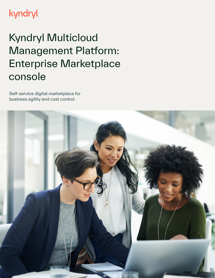### **kyndryl**

## Kyndryl Multicloud Management Platform: Enterprise Marketplace console

Self-service digital marketplace for business agility and cost control

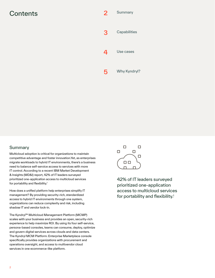### Contents 2



### **Summary**

Multicloud adoption is critical for organizations to maintain competitive advantage and foster innovation.Yet, as enterprises migrate workloads to hybrid IT environments, there's a business need to balance self-service access to services with more IT control. According to a recent IBM Market Development & Insights (MD&I) report, 42% of IT leaders surveyed prioritized one-application access to multicloud services for portability and flexibility.<sup>1</sup>

access to hybrid IT environments through one system, How does a unified platform help enterprises simplify IT management? By providing security-rich, standardized organizations can reduce complexity and risk, including shadow IT and vendor lock-in.

and govern digital services across clouds and data centers. The Kyndryl™ Multicloud Management Platform (MCMP) scales with your business and provides an open, security-rich experience to help maximize ROI. By using its four self-service, persona-based consoles, teams can consume, deploy, optimize The Kyndryl MCM Platform: Enterprise Marketplace console specifically provides organizations with procurement and operations oversight, and access to multivendor cloud services in one ecommerce-like platform.



42% of IT leaders surveyed prioritized one-application access to multicloud services for portability and flexibility.<sup>1</sup>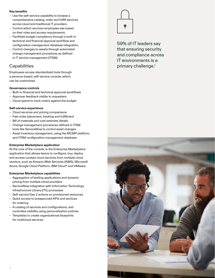### **Key benefts**

- Use the self-service capability to browse a comprehensive catalog, order and fulfll services across cloud and traditional IT providers.
- Control which services employees see based on their roles and access requirements.
- Facilitate budget compliance through a built-in technical and fnancial approval workfow and confguration management database integration.
- Control changes to assets through automated change management procedures as defned in IT service management (ITSM).

### **Capabilities**

 a persona-based, self-service console, which Employees access standardized tools through can be customized.

### **Governance controls**

- Built-in fnancial and technical approval workfows
- Approver feedback visible to requesters
- Cloud spend to track orders against the budget

### **Self-service experience**

- Cloud services and pricing comparisons
- Fast order placement, tracking and fulfllment
- Bill of materials and cost estimate details
- Change management procedures defned in ITSM tools like ServiceNow to control asset changes
- Asset inventory management, using the MCMP platform, and ITSM confguration management database

#### **Enterprise Marketplace application**

application that allows teams to configure, buy, deploy At the core of the console, is the Enterprise Marketplace and access curated cloud services from multiple cloud vendors, such as Amazon Web Services (AWS), Microsof Azure, Google Cloud Platform, IBM Cloud® and VMware.

#### **Enterprise Marketplace capabilities**

- Aggregation of leading applications and dynamic pricing from multiple cloud providers
- ServiceNow integration with Information Technology Infrastructure Library (ITIL) processes
- Self-service Day 2 actions on provisioned resources
- Quick access to preapproved APIs and services for ordering
- A catalog of services and confgurations, and controlled visibility using personalization policies
- Templates to create organizational blueprints for multicloud services



 59% of IT leaders say that ensuring security and compliance across IT environments is a primary challenge.1

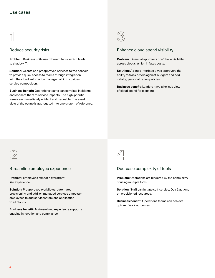### $\bigcap$

### Reduce security risks

**Problem:** Business units use diferent tools, which leads to shadow IT.

**Solution:** Clients add preapproved services to the console to provide quick access to teams through integration with the cloud automation manager, which provides service composition.

and connect them to service impacts. The high-priority and connect them to service impacts. The high-priority<br>issues are immediately evident and traceable. The asset **Business beneft:** Operations teams can correlate incidents view of the estate is aggregated into one system of reference.



### Enhance cloud spend visibility

 across clouds, which infates costs. **Problem:** Financial approvers don't have visibility

**Solution:** A single interface gives approvers the ability to track orders against budgets and add catalog personalization policies.

**Business beneft:** Leaders have a holistic view of cloud spend for planning.



### Streamline employee experience

**Problem:** Employees expect a storefrontlike experience.

**Solution:** Preapproved workflows, automated provisioning and add-on managed services empower employees to add services from one application to all clouds.

**Business beneft:** A streamlined experience supports ongoing innovation and compliance.



### Decrease complexity of tools

 of using multiple tools. **Problem:** Operations are hindered by the complexity

**Solution:** Staff can initiate self-service, Day 2 actions on provisioned resources.

**Business beneft:** Operations teams can achieve quicker Day 2 outcomes.